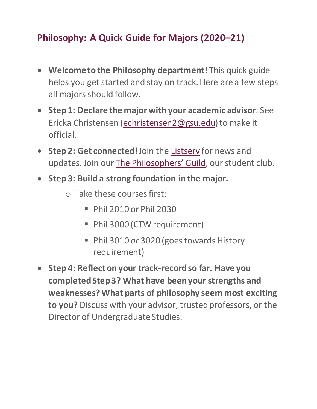# **Philosophy: A Quick Guide for Majors (2020–21)**

- **Welcome to the Philosophy department!**This quick guide helps you get started and stay on track. Here are a few steps all majors should follow.
- **Step 1: Declare the major with your academic advisor**. See Ericka Christensen [\(echristensen2@gsu.edu](mailto:echristensen2@gsu.edu)) to make it official.
- **Step 2: Get connected!**Join the [Listserv](https://philosophy.gsu.edu/undergraduate/listserv/) for news and updates. Join our T[he Philosophers' Guild](https://philosophy.gsu.edu/connections/philosophers-guild/), our student club.
- **Step 3: Build a strong foundation in the major.**
	- o Take these courses first:
		- Phil 2010 or Phil 2030
		- Phil 3000 (CTW requirement)
		- Phil 3010 *or* 3020 (goes towards History requirement)
- **Step 4: Reflect on your track-record so far. Have you completed Step 3? What have been your strengths and weaknesses? What parts of philosophy seem most exciting to you?** Discuss with your advisor, trusted professors, or the Director of Undergraduate Studies.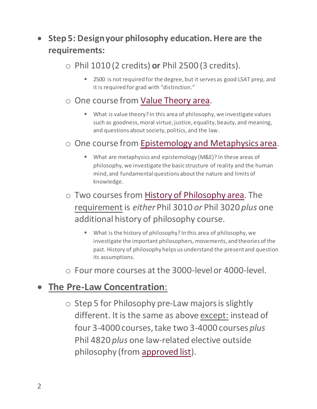## **Step 5: Design your philosophy education. Here are the requirements:**

#### o Phil 1010 (2 credits) **or** Phil 2500 (3 credits).

■ 2500 is not required for the degree, but it serves as good LSAT prep, and it is required for grad with "distinction."

#### o One course from [Value Theory area.](https://catalog.gsu.edu/undergraduate20202021/college-of-arts-and-sciences/#philosophy)

 What is value theory? In this area of philosophy, we investigate values such as goodness, moral virtue, justice, equality, beauty, and meaning, and questions about society, politics, and the law.

#### o One course from [Epistemology and Metaphysics area.](https://catalog.gsu.edu/undergraduate20202021/college-of-arts-and-sciences/#philosophy)

- What are metaphysics and epistemology (M&E)? In these areas of philosophy, we investigate the basic structure of reality and the human mind, and fundamental questions about the nature and limits of knowledge.
- o Two courses from [History of Philosophy area.](https://catalog.gsu.edu/undergraduate20202021/college-of-arts-and-sciences/#philosophy) The requirement is *either* Phil 3010 *or* Phil 3020 *plus* one additional history of philosophy course.
	- What is the history of philosophy? In this area of philosophy, we investigate the important philosophers, movements, and theories of the past. History of philosophy helps us understand the present and question its assumptions.
- o Four more courses at the 3000-level or 4000-level.

## **The Pre-Law Concentration**:

o Step 5 for Philosophy pre-Law majors is slightly different. It is the same as above except: instead of four 3-4000 courses, take two 3-4000 courses *plus* Phil 4820 *plus* one law-related elective outside philosophy (from [approved list\)](https://philosophy.gsu.edu/undergraduate/prelaw/).